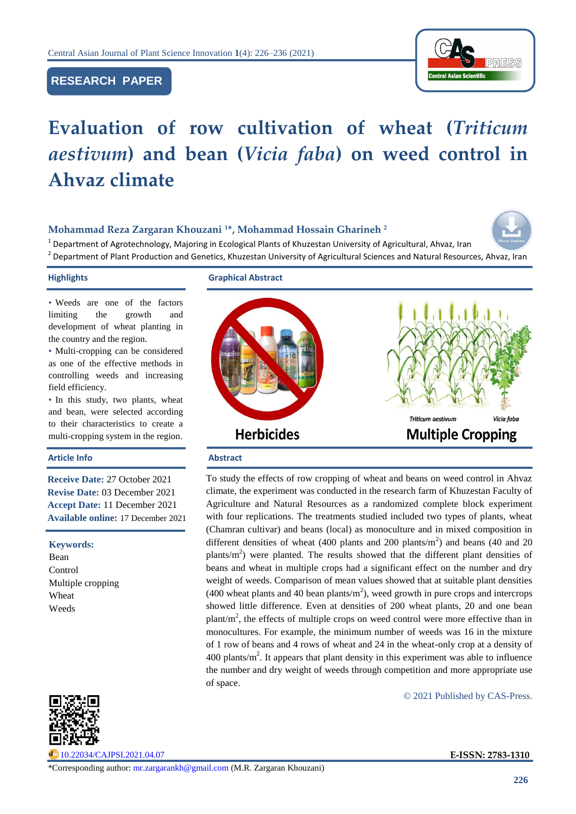# **RESEARCH PAPER**



# **Evaluation of row cultivation of wheat (***Triticum aestivum***) and bean (***Vicia faba***) on weed control in Ahvaz climate**

## **Mohammad Reza Zargaran Khouzani <sup>1</sup>\*, Mohammad Hossain Gharineh <sup>2</sup>**



<sup>1</sup> Department of Agrotechnology, Majoring in Ecological Plants of Khuzestan University of Agricultural, Ahvaz, Iran 2 Department of Plant Production and Genetics, Khuzestan University of Agricultural Sciences and Natural Resources, Ahvaz, Iran

**Highlights Graphical Abstract**

• Weeds are one of the factors limiting the growth and development of wheat planting in the country and the region.

• Multi-cropping can be considered as one of the effective methods in controlling weeds and increasing field efficiency.

• In this study, two plants, wheat and bean, were selected according to their characteristics to create a multi-cropping system in the region.

#### Article Info **Abstract**

**Receive Date:** 27 October 2021 **Revise Date:** 03 December 2021 **Accept Date:** 11 December 2021 **Available online:** 17 December 2021

#### **Keywords:**

Bean Control Multiple cropping Wheat Weeds



[10.22034/CAJPSI.2021.04.07](https://www.cajpsi.com/article_143168.html) **E-ISSN: 2783-1310**



To study the effects of row cropping of wheat and beans on weed control in Ahvaz climate, the experiment was conducted in the research farm of Khuzestan Faculty of Agriculture and Natural Resources as a randomized complete block experiment with four replications. The treatments studied included two types of plants, wheat (Chamran cultivar) and beans (local) as monoculture and in mixed composition in different densities of wheat (400 plants and 200 plants/ $m<sup>2</sup>$ ) and beans (40 and 20 plants/ $m<sup>2</sup>$ ) were planted. The results showed that the different plant densities of beans and wheat in multiple crops had a significant effect on the number and dry weight of weeds. Comparison of mean values showed that at suitable plant densities (400 wheat plants and 40 bean plants/ $m<sup>2</sup>$ ), weed growth in pure crops and intercrops showed little difference. Even at densities of 200 wheat plants, 20 and one bean  $plant/m<sup>2</sup>$ , the effects of multiple crops on weed control were more effective than in monocultures. For example, the minimum number of weeds was 16 in the mixture of 1 row of beans and 4 rows of wheat and 24 in the wheat-only crop at a density of  $400$  plants/ $m<sup>2</sup>$ . It appears that plant density in this experiment was able to influence the number and dry weight of weeds through competition and more appropriate use of space.

© 2021 Published by CAS-Press.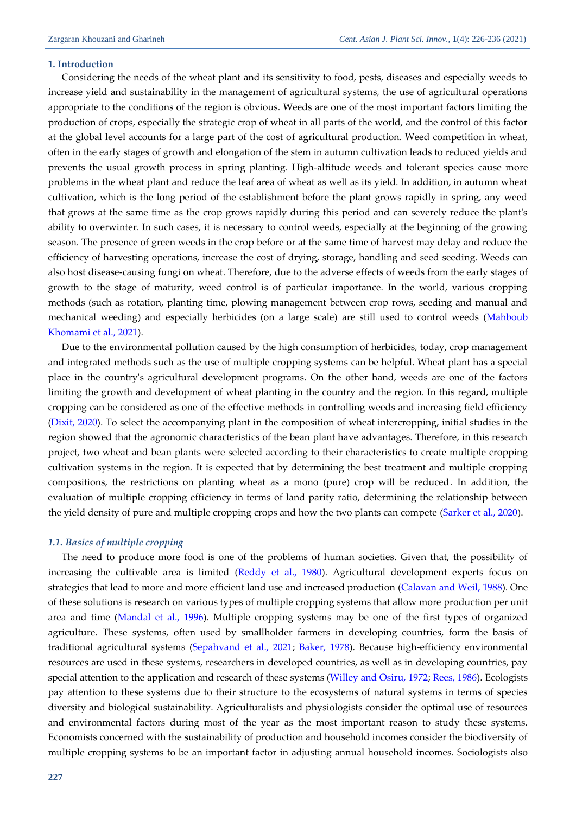#### **1. Introduction**

Considering the needs of the wheat plant and its sensitivity to food, pests, diseases and especially weeds to increase yield and sustainability in the management of agricultural systems, the use of agricultural operations appropriate to the conditions of the region is obvious. Weeds are one of the most important factors limiting the production of crops, especially the strategic crop of wheat in all parts of the world, and the control of this factor at the global level accounts for a large part of the cost of agricultural production. Weed competition in wheat, often in the early stages of growth and elongation of the stem in autumn cultivation leads to reduced yields and prevents the usual growth process in spring planting. High-altitude weeds and tolerant species cause more problems in the wheat plant and reduce the leaf area of wheat as well as its yield. In addition, in autumn wheat cultivation, which is the long period of the establishment before the plant grows rapidly in spring, any weed that grows at the same time as the crop grows rapidly during this period and can severely reduce the plant's ability to overwinter. In such cases, it is necessary to control weeds, especially at the beginning of the growing season. The presence of green weeds in the crop before or at the same time of harvest may delay and reduce the efficiency of harvesting operations, increase the cost of drying, storage, handling and seed seeding. Weeds can also host disease-causing fungi on wheat. Therefore, due to the adverse effects of weeds from the early stages of growth to the stage of maturity, weed control is of particular importance. In the world, various cropping methods (such as rotation, planting time, plowing management between crop rows, seeding and manual and mechanical weeding) and especially herbicides (on a large scale) are still used to control weeds [\(Mahboub](#page-9-0)  [Khomami et al., 2021\)](#page-9-0).

Due to the environmental pollution caused by the high consumption of herbicides, today, crop management and integrated methods such as the use of multiple cropping systems can be helpful. Wheat plant has a special place in the country's agricultural development programs. On the other hand, weeds are one of the factors limiting the growth and development of wheat planting in the country and the region. In this regard, multiple cropping can be considered as one of the effective methods in controlling weeds and increasing field efficiency [\(Dixit, 2020\)](#page-9-1). To select the accompanying plant in the composition of wheat intercropping, initial studies in the region showed that the agronomic characteristics of the bean plant have advantages. Therefore, in this research project, two wheat and bean plants were selected according to their characteristics to create multiple cropping cultivation systems in the region. It is expected that by determining the best treatment and multiple cropping compositions, the restrictions on planting wheat as a mono (pure) crop will be reduced. In addition, the evaluation of multiple cropping efficiency in terms of land parity ratio, determining the relationship between the yield density of pure and multiple cropping crops and how the two plants can compete [\(Sarker et al., 2020\)](#page-10-0).

#### *1.1. Basics of multiple cropping*

The need to produce more food is one of the problems of human societies. Given that, the possibility of increasing the cultivable area is limited (Reddy [et al., 1980\)](#page-10-1). Agricultural development experts focus on strategies that lead to more and more efficient land use and increased production (Calavan [and Weil,](#page-9-2) 1988). One of these solutions is research on various types of multiple cropping systems that allow more production per unit area and time [\(Mandal](#page-10-2) et al., 1996). Multiple cropping systems may be one of the first types of organized agriculture. These systems, often used by smallholder farmers in developing countries, form the basis of traditional agricultural systems [\(Sepahvand et al., 2021;](#page-10-3) [Baker, 1978\)](#page-9-3). Because high-efficiency environmental resources are used in these systems, researchers in developed countries, as well as in developing countries, pay special attention to the application and research of these systems [\(Willey and Osiru, 1972;](#page-10-4) [Rees, 1986\)](#page-10-5). Ecologists pay attention to these systems due to their structure to the ecosystems of natural systems in terms of species diversity and biological sustainability. Agriculturalists and physiologists consider the optimal use of resources and environmental factors during most of the year as the most important reason to study these systems. Economists concerned with the sustainability of production and household incomes consider the biodiversity of multiple cropping systems to be an important factor in adjusting annual household incomes. Sociologists also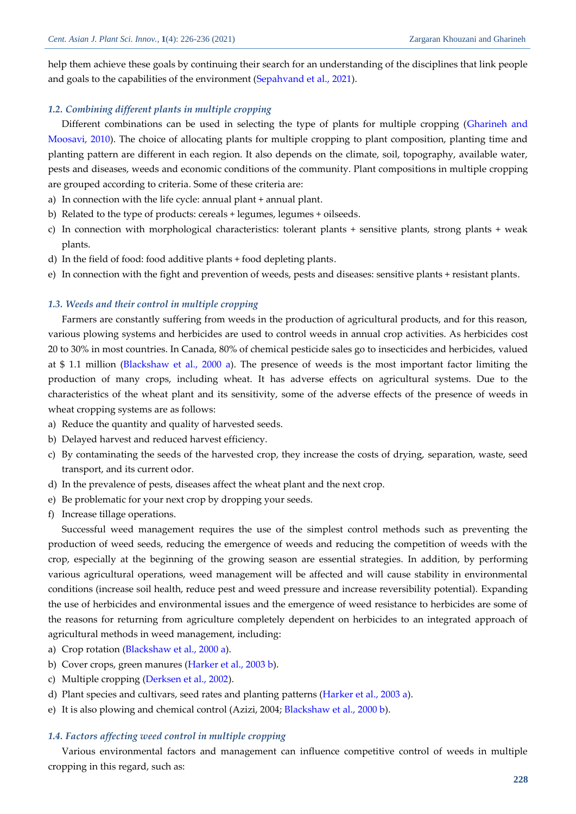help them achieve these goals by continuing their search for an understanding of the disciplines that link people and goals to the capabilities of the environment [\(Sepahvand et al., 2021\)](#page-10-3).

### *1.2. Combining different plants in multiple cropping*

Different combinations can be used in selecting the type of plants for multiple cropping [\(Gharineh and](#page-9-4)  [Moosavi, 2010\)](#page-9-4). The choice of allocating plants for multiple cropping to plant composition, planting time and planting pattern are different in each region. It also depends on the climate, soil, topography, available water, pests and diseases, weeds and economic conditions of the community. Plant compositions in multiple cropping are grouped according to criteria. Some of these criteria are:

- a) In connection with the life cycle: annual plant + annual plant.
- b) Related to the type of products: cereals + legumes, legumes + oilseeds.
- c) In connection with morphological characteristics: tolerant plants + sensitive plants, strong plants + weak plants.
- d) In the field of food: food additive plants + food depleting plants.
- e) In connection with the fight and prevention of weeds, pests and diseases: sensitive plants + resistant plants.

#### *1.3. Weeds and their control in multiple cropping*

Farmers are constantly suffering from weeds in the production of agricultural products, and for this reason, various plowing systems and herbicides are used to control weeds in annual crop activities. As herbicides cost 20 to 30% in most countries. In Canada, 80% of chemical pesticide sales go to insecticides and herbicides, valued at \$ 1.1 million [\(Blackshaw et al., 2000](#page-9-5) a). The presence of weeds is the most important factor limiting the production of many crops, including wheat. It has adverse effects on agricultural systems. Due to the characteristics of the wheat plant and its sensitivity, some of the adverse effects of the presence of weeds in wheat cropping systems are as follows:

- a) Reduce the quantity and quality of harvested seeds.
- b) Delayed harvest and reduced harvest efficiency.
- c) By contaminating the seeds of the harvested crop, they increase the costs of drying, separation, waste, seed transport, and its current odor.
- d) In the prevalence of pests, diseases affect the wheat plant and the next crop.
- e) Be problematic for your next crop by dropping your seeds.
- f) Increase tillage operations.

Successful weed management requires the use of the simplest control methods such as preventing the production of weed seeds, reducing the emergence of weeds and reducing the competition of weeds with the crop, especially at the beginning of the growing season are essential strategies. In addition, by performing various agricultural operations, weed management will be affected and will cause stability in environmental conditions (increase soil health, reduce pest and weed pressure and increase reversibility potential). Expanding the use of herbicides and environmental issues and the emergence of weed resistance to herbicides are some of the reasons for returning from agriculture completely dependent on herbicides to an integrated approach of agricultural methods in weed management, including:

- a) Crop rotation [\(Blackshaw et al., 2000](#page-9-5) a).
- b) Cover crops, green manures [\(Harker et al., 2003 b\)](#page-9-6).
- c) Multiple cropping [\(Derksen et al., 2002\)](#page-9-7).
- d) Plant species and cultivars, seed rates and planting patterns [\(Harker et al., 2003 a\)](#page-9-8).
- e) It is also plowing and chemical control (Azizi, 2004; [Blackshaw et al., 2000 b\)](#page-9-9).

#### *1.4. Factors affecting weed control in multiple cropping*

Various environmental factors and management can influence competitive control of weeds in multiple cropping in this regard, such as: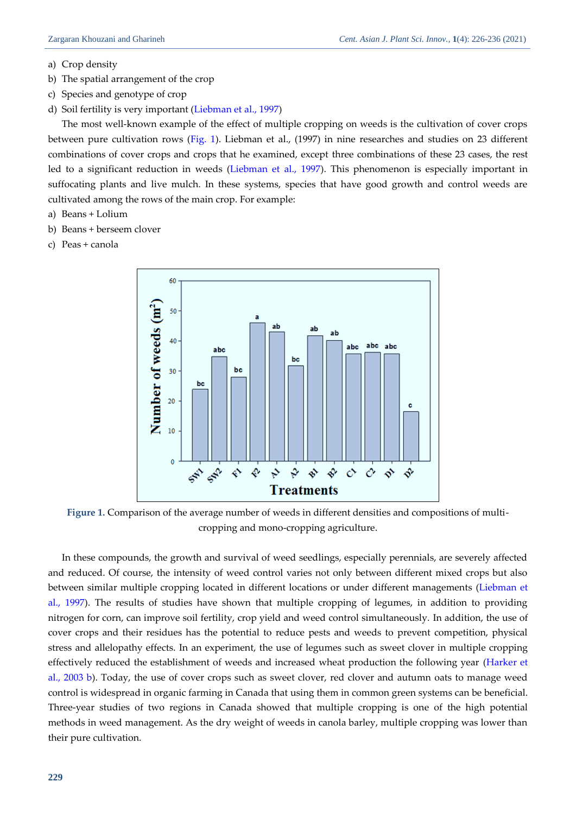- a) Crop density
- b) The spatial arrangement of the crop
- c) Species and genotype of crop
- d) Soil fertility is very important [\(Liebman et al., 1997\)](#page-9-10)

The most well-known example of the effect of multiple cropping on weeds is the cultivation of cover crops between pure cultivation rows (Fig. 1). Liebman et al., (1997) in nine researches and studies on 23 different combinations of cover crops and crops that he examined, except three combinations of these 23 cases, the rest led to a significant reduction in weeds (Liebman [et al., 1997\)](#page-9-10). This phenomenon is especially important in suffocating plants and live mulch. In these systems, species that have good growth and control weeds are cultivated among the rows of the main crop. For example:

- a) Beans + Lolium
- b) Beans + berseem clover
- c) Peas + canola



**Figure 1.** Comparison of the average number of weeds in different densities and compositions of multicropping and mono-cropping agriculture.

In these compounds, the growth and survival of weed seedlings, especially perennials, are severely affected and reduced. Of course, the intensity of weed control varies not only between different mixed crops but also between similar multiple cropping located in different locations or under different managements [\(Liebman](#page-9-10) et [al., 1997\)](#page-9-10). The results of studies have shown that multiple cropping of legumes, in addition to providing nitrogen for corn, can improve soil fertility, crop yield and weed control simultaneously. In addition, the use of cover crops and their residues has the potential to reduce pests and weeds to prevent competition, physical stress and allelopathy effects. In an experiment, the use of legumes such as sweet clover in multiple cropping effectively reduced the establishment of weeds and increased wheat production the following year [\(Harker et](#page-9-6)  [al., 2003 b\)](#page-9-6). Today, the use of cover crops such as sweet clover, red clover and autumn oats to manage weed control is widespread in organic farming in Canada that using them in common green systems can be beneficial. Three-year studies of two regions in Canada showed that multiple cropping is one of the high potential methods in weed management. As the dry weight of weeds in canola barley, multiple cropping was lower than their pure cultivation.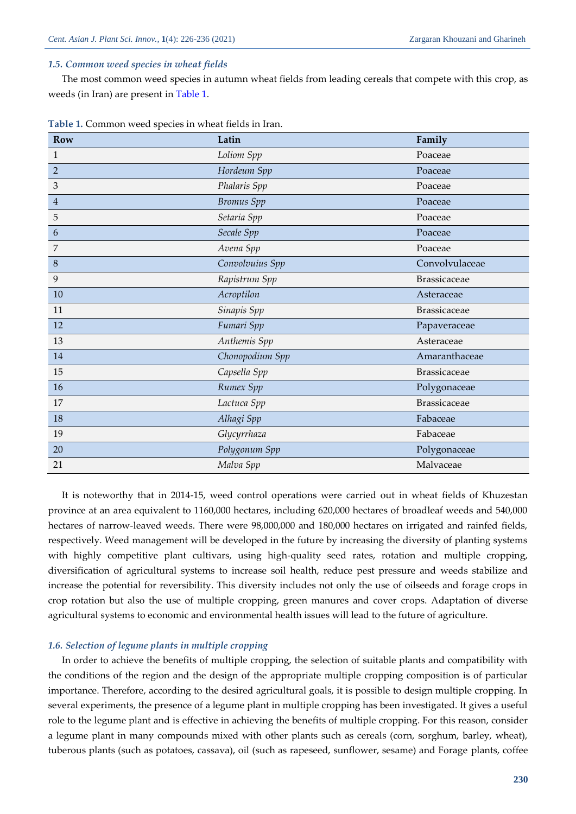#### *1.5. Common weed species in wheat fields*

The most common weed species in autumn wheat fields from leading cereals that compete with this crop, as weeds (in Iran) are present in Table 1.

| <b>Row</b>                | Latin             | Family              |
|---------------------------|-------------------|---------------------|
| 1                         | Loliom Spp        | Poaceae             |
| $\overline{2}$            | Hordeum Spp       | Poaceae             |
| $\ensuremath{\mathsf{3}}$ | Phalaris Spp      | Poaceae             |
| 4                         | <b>Bromus</b> Spp | Poaceae             |
| 5                         | Setaria Spp       | Poaceae             |
| 6                         | Secale Spp        | Poaceae             |
| 7                         | Avena Spp         | Poaceae             |
| 8                         | Convolvuius Spp   | Convolvulaceae      |
| 9                         | Rapistrum Spp     | Brassicaceae        |
| 10                        | Acroptilon        | Asteraceae          |
| 11                        | Sinapis Spp       | <b>Brassicaceae</b> |
| 12                        | Fumari Spp        | Papaveraceae        |
| 13                        | Anthemis Spp      | Asteraceae          |
| 14                        | Chonopodium Spp   | Amaranthaceae       |
| 15                        | Capsella Spp      | <b>Brassicaceae</b> |
| 16                        | Rumex Spp         | Polygonaceae        |
| 17                        | Lactuca Spp       | <b>Brassicaceae</b> |
| 18                        | Alhagi Spp        | Fabaceae            |
| 19                        | Glycyrrhaza       | Fabaceae            |
| 20                        | Polygonum Spp     | Polygonaceae        |
| 21                        | Malva Spp         | Malvaceae           |

**Table 1.** Common weed species in wheat fields in Iran.

It is noteworthy that in 2014-15, weed control operations were carried out in wheat fields of Khuzestan province at an area equivalent to 1160,000 hectares, including 620,000 hectares of broadleaf weeds and 540,000 hectares of narrow-leaved weeds. There were 98,000,000 and 180,000 hectares on irrigated and rainfed fields, respectively. Weed management will be developed in the future by increasing the diversity of planting systems with highly competitive plant cultivars, using high-quality seed rates, rotation and multiple cropping, diversification of agricultural systems to increase soil health, reduce pest pressure and weeds stabilize and increase the potential for reversibility. This diversity includes not only the use of oilseeds and forage crops in crop rotation but also the use of multiple cropping, green manures and cover crops. Adaptation of diverse agricultural systems to economic and environmental health issues will lead to the future of agriculture.

#### *1.6. Selection of legume plants in multiple cropping*

In order to achieve the benefits of multiple cropping, the selection of suitable plants and compatibility with the conditions of the region and the design of the appropriate multiple cropping composition is of particular importance. Therefore, according to the desired agricultural goals, it is possible to design multiple cropping. In several experiments, the presence of a legume plant in multiple cropping has been investigated. It gives a useful role to the legume plant and is effective in achieving the benefits of multiple cropping. For this reason, consider a legume plant in many compounds mixed with other plants such as cereals (corn, sorghum, barley, wheat), tuberous plants (such as potatoes, cassava), oil (such as rapeseed, sunflower, sesame) and Forage plants, coffee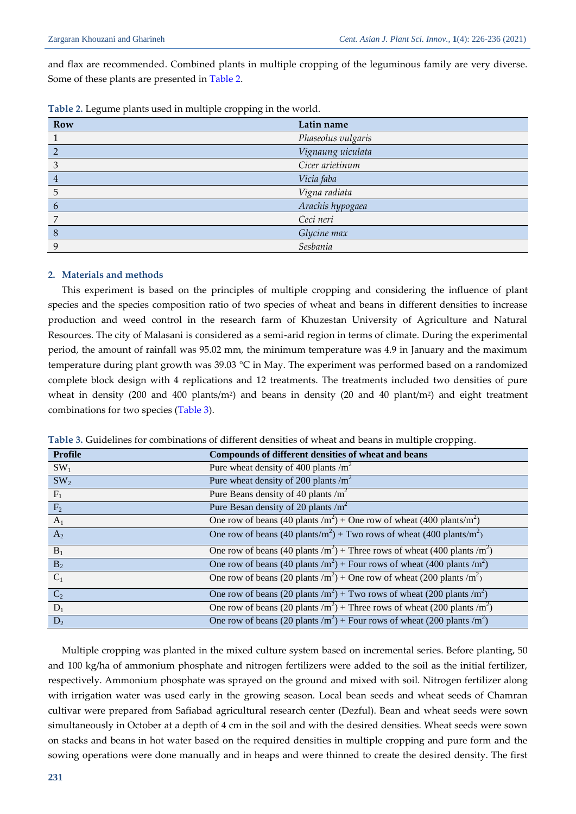and flax are recommended. Combined plants in multiple cropping of the leguminous family are very diverse. Some of these plants are presented in Table 2.

| Row         | Latin name         |
|-------------|--------------------|
|             | Phaseolus vulgaris |
|             | Vignaung uiculata  |
| 3           | Cicer arietinum    |
| 4           | Vicia faba         |
| 5           | Vigna radiata      |
| 6           | Arachis hypogaea   |
| 7           | Ceci neri          |
| 8           | Glycine max        |
| $\mathbf Q$ | Sesbania           |

|  |  | Table 2. Legume plants used in multiple cropping in the world. |  |  |
|--|--|----------------------------------------------------------------|--|--|
|  |  |                                                                |  |  |

### **2. Materials and methods**

This experiment is based on the principles of multiple cropping and considering the influence of plant species and the species composition ratio of two species of wheat and beans in different densities to increase production and weed control in the research farm of Khuzestan University of Agriculture and Natural Resources. The city of Malasani is considered as a semi-arid region in terms of climate. During the experimental period, the amount of rainfall was 95.02 mm, the minimum temperature was 4.9 in January and the maximum temperature during plant growth was 39.03 °C in May. The experiment was performed based on a randomized complete block design with 4 replications and 12 treatments. The treatments included two densities of pure wheat in density (200 and 400 plants/m<sup>2</sup>) and beans in density (20 and 40 plant/m<sup>2</sup>) and eight treatment combinations for two species (Table 3).

| <b>Profile</b>   | Compounds of different densities of wheat and beans                                               |
|------------------|---------------------------------------------------------------------------------------------------|
| SW <sub>1</sub>  | Pure wheat density of 400 plants $/m2$                                                            |
| SW <sub>2</sub>  | Pure wheat density of 200 plants $/m2$                                                            |
| $F_1$            | Pure Beans density of 40 plants $/m^2$                                                            |
| F <sub>2</sub>   | Pure Besan density of 20 plants $/m^2$                                                            |
| $A_1$            | One row of beans (40 plants /m <sup>2</sup> ) + One row of wheat (400 plants/m <sup>2</sup> )     |
| A <sub>2</sub>   | One row of beans (40 plants/m <sup>2</sup> ) + Two rows of wheat (400 plants/m <sup>2</sup> )     |
| $B_1$            | One row of beans (40 plants /m <sup>2</sup> ) + Three rows of wheat (400 plants /m <sup>2</sup> ) |
| $\overline{B_2}$ | One row of beans (40 plants /m <sup>2</sup> ) + Four rows of wheat (400 plants /m <sup>2</sup> )  |
| $C_1$            | One row of beans (20 plants /m <sup>2</sup> ) + One row of wheat (200 plants /m <sup>2</sup> )    |
| $C_2$            | One row of beans (20 plants /m <sup>2</sup> ) + Two rows of wheat (200 plants /m <sup>2</sup> )   |
| $D_1$            | One row of beans (20 plants /m <sup>2</sup> ) + Three rows of wheat (200 plants /m <sup>2</sup> ) |
| $D_2$            | One row of beans (20 plants /m <sup>2</sup> ) + Four rows of wheat (200 plants /m <sup>2</sup> )  |

**Table 3.** Guidelines for combinations of different densities of wheat and beans in multiple cropping.

Multiple cropping was planted in the mixed culture system based on incremental series. Before planting, 50 and 100 kg/ha of ammonium phosphate and nitrogen fertilizers were added to the soil as the initial fertilizer, respectively. Ammonium phosphate was sprayed on the ground and mixed with soil. Nitrogen fertilizer along with irrigation water was used early in the growing season. Local bean seeds and wheat seeds of Chamran cultivar were prepared from Safiabad agricultural research center (Dezful). Bean and wheat seeds were sown simultaneously in October at a depth of 4 cm in the soil and with the desired densities. Wheat seeds were sown on stacks and beans in hot water based on the required densities in multiple cropping and pure form and the sowing operations were done manually and in heaps and were thinned to create the desired density. The first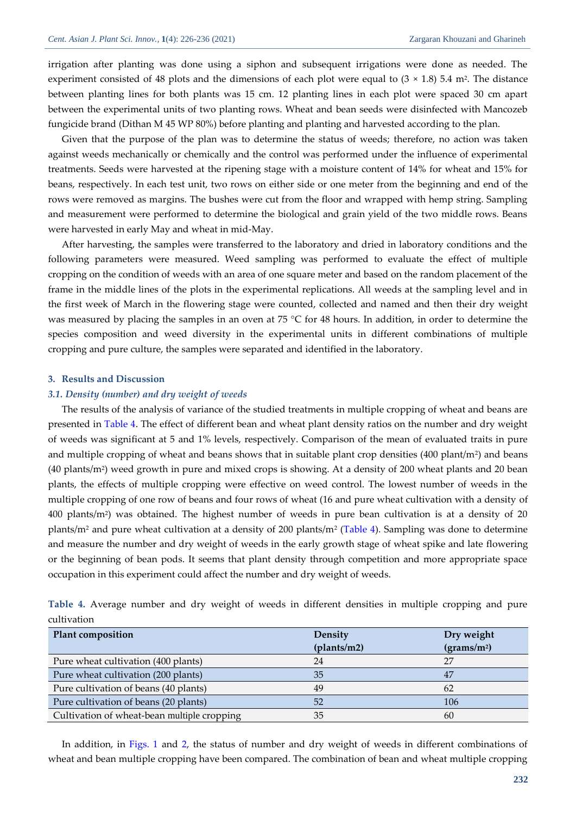irrigation after planting was done using a siphon and subsequent irrigations were done as needed. The experiment consisted of 48 plots and the dimensions of each plot were equal to  $(3 \times 1.8)$  5.4 m<sup>2</sup>. The distance between planting lines for both plants was 15 cm. 12 planting lines in each plot were spaced 30 cm apart between the experimental units of two planting rows. Wheat and bean seeds were disinfected with Mancozeb fungicide brand (Dithan M 45 WP 80%) before planting and planting and harvested according to the plan.

Given that the purpose of the plan was to determine the status of weeds; therefore, no action was taken against weeds mechanically or chemically and the control was performed under the influence of experimental treatments. Seeds were harvested at the ripening stage with a moisture content of 14% for wheat and 15% for beans, respectively. In each test unit, two rows on either side or one meter from the beginning and end of the rows were removed as margins. The bushes were cut from the floor and wrapped with hemp string. Sampling and measurement were performed to determine the biological and grain yield of the two middle rows. Beans were harvested in early May and wheat in mid-May.

After harvesting, the samples were transferred to the laboratory and dried in laboratory conditions and the following parameters were measured. Weed sampling was performed to evaluate the effect of multiple cropping on the condition of weeds with an area of one square meter and based on the random placement of the frame in the middle lines of the plots in the experimental replications. All weeds at the sampling level and in the first week of March in the flowering stage were counted, collected and named and then their dry weight was measured by placing the samples in an oven at 75 °C for 48 hours. In addition, in order to determine the species composition and weed diversity in the experimental units in different combinations of multiple cropping and pure culture, the samples were separated and identified in the laboratory.

#### **3. Results and Discussion**

#### *3.1. Density (number) and dry weight of weeds*

The results of the analysis of variance of the studied treatments in multiple cropping of wheat and beans are presented in Table 4. The effect of different bean and wheat plant density ratios on the number and dry weight of weeds was significant at 5 and 1% levels, respectively. Comparison of the mean of evaluated traits in pure and multiple cropping of wheat and beans shows that in suitable plant crop densities (400 plant/m<sup>2</sup> ) and beans (40 plants/m<sup>2</sup> ) weed growth in pure and mixed crops is showing. At a density of 200 wheat plants and 20 bean plants, the effects of multiple cropping were effective on weed control. The lowest number of weeds in the multiple cropping of one row of beans and four rows of wheat (16 and pure wheat cultivation with a density of  $400$  plants/m<sup>2</sup>) was obtained. The highest number of weeds in pure bean cultivation is at a density of 20 plants/m<sup>2</sup> and pure wheat cultivation at a density of 200 plants/m<sup>2</sup> (Table 4). Sampling was done to determine and measure the number and dry weight of weeds in the early growth stage of wheat spike and late flowering or the beginning of bean pods. It seems that plant density through competition and more appropriate space occupation in this experiment could affect the number and dry weight of weeds.

| cultivation                                 |             |                         |
|---------------------------------------------|-------------|-------------------------|
| Plant composition                           | Density     | Dry weight              |
|                                             | (plants/m2) | (grams/m <sup>2</sup> ) |
| Pure wheat cultivation (400 plants)         | 24          | 27                      |
| Pure wheat cultivation (200 plants)         | 35          | 47                      |
| Pure cultivation of beans (40 plants)       | 49          | 62                      |
| Pure cultivation of beans (20 plants)       | 52          | 106                     |
| Cultivation of wheat-bean multiple cropping | 35          | 60                      |

**Table 4.** Average number and dry weight of weeds in different densities in multiple cropping and pure cultivation

In addition, in Figs. 1 and 2, the status of number and dry weight of weeds in different combinations of wheat and bean multiple cropping have been compared. The combination of bean and wheat multiple cropping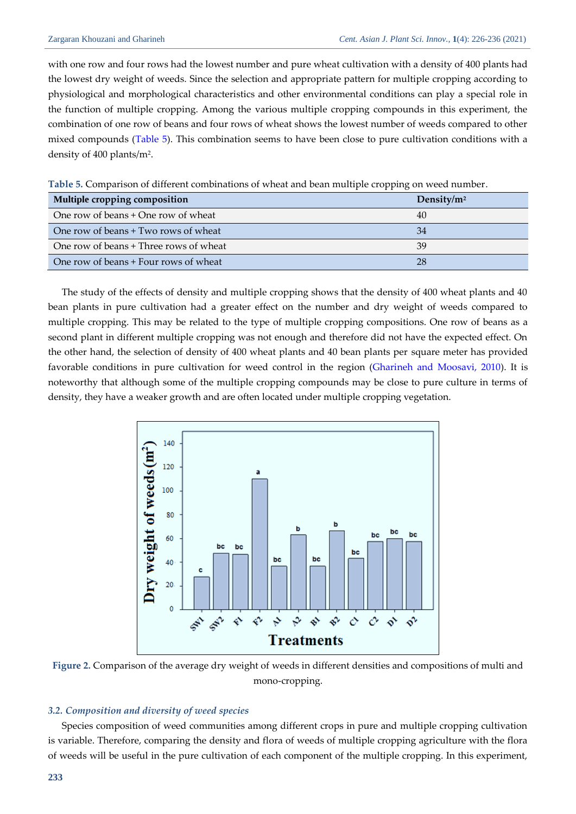with one row and four rows had the lowest number and pure wheat cultivation with a density of 400 plants had the lowest dry weight of weeds. Since the selection and appropriate pattern for multiple cropping according to physiological and morphological characteristics and other environmental conditions can play a special role in the function of multiple cropping. Among the various multiple cropping compounds in this experiment, the combination of one row of beans and four rows of wheat shows the lowest number of weeds compared to other mixed compounds (Table 5). This combination seems to have been close to pure cultivation conditions with a density of 400 plants/m<sup>2</sup> .

|  |  |  |  | Table 5. Comparison of different combinations of wheat and bean multiple cropping on weed number |
|--|--|--|--|--------------------------------------------------------------------------------------------------|
|  |  |  |  |                                                                                                  |

| Multiple cropping composition          | Density/ $m2$ |
|----------------------------------------|---------------|
| One row of beans + One row of wheat    | 40            |
| One row of beans + Two rows of wheat   | 34            |
| One row of beans + Three rows of wheat | 39            |
| One row of beans + Four rows of wheat  | 28            |

The study of the effects of density and multiple cropping shows that the density of 400 wheat plants and 40 bean plants in pure cultivation had a greater effect on the number and dry weight of weeds compared to multiple cropping. This may be related to the type of multiple cropping compositions. One row of beans as a second plant in different multiple cropping was not enough and therefore did not have the expected effect. On the other hand, the selection of density of 400 wheat plants and 40 bean plants per square meter has provided favorable conditions in pure cultivation for weed control in the region [\(Gharineh and Moosavi, 2010\)](#page-9-4). It is noteworthy that although some of the multiple cropping compounds may be close to pure culture in terms of density, they have a weaker growth and are often located under multiple cropping vegetation.



**Figure 2.** Comparison of the average dry weight of weeds in different densities and compositions of multi and mono-cropping.

# *3.2. Composition and diversity of weed species*

Species composition of weed communities among different crops in pure and multiple cropping cultivation is variable. Therefore, comparing the density and flora of weeds of multiple cropping agriculture with the flora of weeds will be useful in the pure cultivation of each component of the multiple cropping. In this experiment,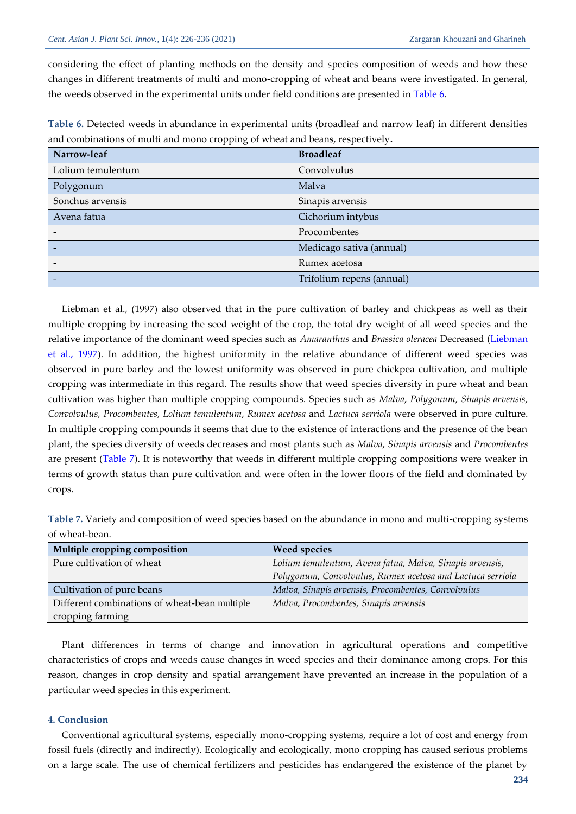considering the effect of planting methods on the density and species composition of weeds and how these changes in different treatments of multi and mono-cropping of wheat and beans were investigated. In general, the weeds observed in the experimental units under field conditions are presented in Table 6.

| Narrow-leaf       | <b>Broadleaf</b>          |
|-------------------|---------------------------|
| Lolium temulentum | Convolvulus               |
| Polygonum         | Malva                     |
| Sonchus arvensis  | Sinapis arvensis          |
| Avena fatua       | Cichorium intybus         |
|                   | Procombentes              |
|                   | Medicago sativa (annual)  |
|                   | Rumex acetosa             |
|                   | Trifolium repens (annual) |

**Table 6.** Detected weeds in abundance in experimental units (broadleaf and narrow leaf) in different densities and combinations of multi and mono cropping of wheat and beans, respectively**.**

Liebman et al., (1997) also observed that in the pure cultivation of barley and chickpeas as well as their multiple cropping by increasing the seed weight of the crop, the total dry weight of all weed species and the relative importance of the dominant weed species such as *Amaranthus* and *Brassica oleracea* Decreased [\(Liebman](#page-9-10)  [et al., 1997\)](#page-9-10). In addition, the highest uniformity in the relative abundance of different weed species was observed in pure barley and the lowest uniformity was observed in pure chickpea cultivation, and multiple cropping was intermediate in this regard. The results show that weed species diversity in pure wheat and bean cultivation was higher than multiple cropping compounds. Species such as *Malva*, *Polygonum*, *Sinapis arvensis*, *Convolvulus*, *Procombentes*, *Lolium temulentum*, *Rumex acetosa* and *Lactuca serriola* were observed in pure culture. In multiple cropping compounds it seems that due to the existence of interactions and the presence of the bean plant, the species diversity of weeds decreases and most plants such as *Malva*, *Sinapis arvensis* and *Procombentes* are present (Table 7). It is noteworthy that weeds in different multiple cropping compositions were weaker in terms of growth status than pure cultivation and were often in the lower floors of the field and dominated by crops.

**Table 7.** Variety and composition of weed species based on the abundance in mono and multi-cropping systems of wheat-bean.

| Multiple cropping composition                 | <b>Weed species</b>                                        |
|-----------------------------------------------|------------------------------------------------------------|
| Pure cultivation of wheat                     | Lolium temulentum, Avena fatua, Malva, Sinapis arvensis,   |
|                                               | Polygonum, Convolvulus, Rumex acetosa and Lactuca serriola |
| Cultivation of pure beans                     | Malva, Sinapis arvensis, Procombentes, Convolvulus         |
| Different combinations of wheat-bean multiple | Malva, Procombentes, Sinapis arvensis                      |
| cropping farming                              |                                                            |

Plant differences in terms of change and innovation in agricultural operations and competitive characteristics of crops and weeds cause changes in weed species and their dominance among crops. For this reason, changes in crop density and spatial arrangement have prevented an increase in the population of a particular weed species in this experiment.

#### **4. Conclusion**

Conventional agricultural systems, especially mono-cropping systems, require a lot of cost and energy from fossil fuels (directly and indirectly). Ecologically and ecologically, mono cropping has caused serious problems on a large scale. The use of chemical fertilizers and pesticides has endangered the existence of the planet by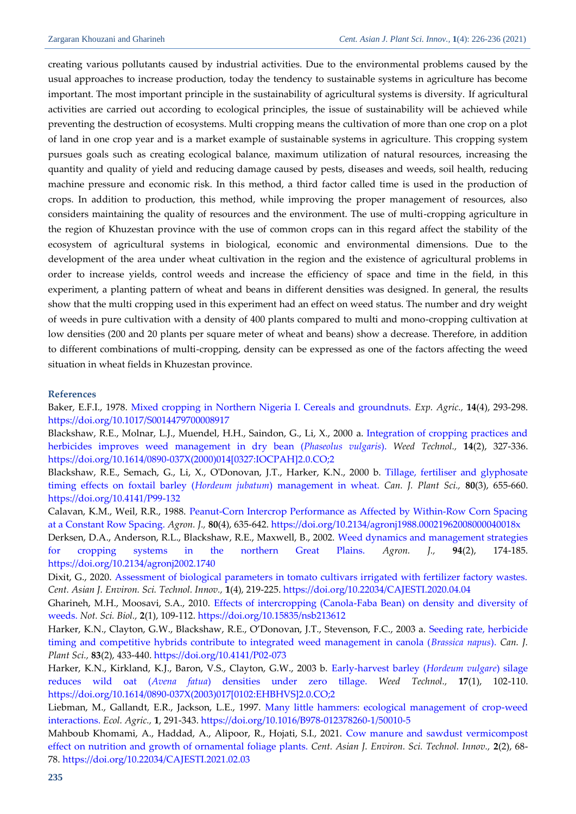creating various pollutants caused by industrial activities. Due to the environmental problems caused by the usual approaches to increase production, today the tendency to sustainable systems in agriculture has become important. The most important principle in the sustainability of agricultural systems is diversity. If agricultural activities are carried out according to ecological principles, the issue of sustainability will be achieved while preventing the destruction of ecosystems. Multi cropping means the cultivation of more than one crop on a plot of land in one crop year and is a market example of sustainable systems in agriculture. This cropping system pursues goals such as creating ecological balance, maximum utilization of natural resources, increasing the quantity and quality of yield and reducing damage caused by pests, diseases and weeds, soil health, reducing machine pressure and economic risk. In this method, a third factor called time is used in the production of crops. In addition to production, this method, while improving the proper management of resources, also considers maintaining the quality of resources and the environment. The use of multi-cropping agriculture in the region of Khuzestan province with the use of common crops can in this regard affect the stability of the ecosystem of agricultural systems in biological, economic and environmental dimensions. Due to the development of the area under wheat cultivation in the region and the existence of agricultural problems in order to increase yields, control weeds and increase the efficiency of space and time in the field, in this experiment, a planting pattern of wheat and beans in different densities was designed. In general, the results show that the multi cropping used in this experiment had an effect on weed status. The number and dry weight of weeds in pure cultivation with a density of 400 plants compared to multi and mono-cropping cultivation at low densities (200 and 20 plants per square meter of wheat and beans) show a decrease. Therefore, in addition to different combinations of multi-cropping, density can be expressed as one of the factors affecting the weed situation in wheat fields in Khuzestan province.

#### **References**

<span id="page-9-3"></span>Baker, E.F.I., 1978. [Mixed cropping in Northern Nigeria I. Cereals and groundnuts.](https://www.cambridge.org/core/journals/experimental-agriculture/article/abs/mixed-cropping-in-northern-nigeria-i-cereals-and-groundnuts/26EE614075B5DDEA932B38E5990F89E4) *Exp. Agric.,* **14**(4), 293-298. <https://doi.org/10.1017/S0014479700008917>

<span id="page-9-5"></span>Blackshaw, R.E., Molnar, L.J., Muendel, H.H., Saindon, G., Li, X., 2000 a. [Integration of cropping practices and](https://www.cambridge.org/core/journals/weed-technology/article/abs/integration-of-cropping-practices-and-herbicides-improves-weed-management-in-dry-bean-phaseolus-vulgaris/388BF338C29ACAE1D08CA37B2C367FF2)  [herbicides improves weed management in dry bean \(](https://www.cambridge.org/core/journals/weed-technology/article/abs/integration-of-cropping-practices-and-herbicides-improves-weed-management-in-dry-bean-phaseolus-vulgaris/388BF338C29ACAE1D08CA37B2C367FF2)*Phaseolus vulgaris*). *Weed Technol.,* **14**(2), 327-336. [https://doi.org/10.1614/0890-037X\(2000\)014\[0327:IOCPAH\]2.0.CO;2](https://doi.org/10.1614/0890-037X(2000)014%5b0327:IOCPAH%5d2.0.CO;2)

<span id="page-9-9"></span>Blackshaw, R.E., Semach, G., Li, X., O'Donovan, J.T., Harker, K.N., 2000 b. [Tillage, fertiliser and glyphosate](https://cdnsciencepub.com/doi/pdf/10.4141/p99-132)  [timing effects on foxtail barley \(](https://cdnsciencepub.com/doi/pdf/10.4141/p99-132)*Hordeum jubatum*) management in wheat. *Can. J. Plant Sci.,* **80**(3), 655-660. <https://doi.org/10.4141/P99-132>

<span id="page-9-2"></span>Calavan, K.M., Weil, R.R., 1988. [Peanut‐Corn Intercrop Performance as Affected by Within‐Row Corn Spacing](https://www.researchgate.net/profile/Raymond-Weil/publication/233861656_Peanut-Corn_Intercrop_Performance_as_Affected_by_Within-Row_Corn_Spacing_at_a_Constant_Row_Spacing/links/5b632cac0f7e9b00b2a23262/Peanut-Corn-Intercrop-Performance-as-Affected-by-Within-Row-Corn-Spacing-at-a-Constant-Row-Spacing.pdf)  [at a Constant Row Spacing.](https://www.researchgate.net/profile/Raymond-Weil/publication/233861656_Peanut-Corn_Intercrop_Performance_as_Affected_by_Within-Row_Corn_Spacing_at_a_Constant_Row_Spacing/links/5b632cac0f7e9b00b2a23262/Peanut-Corn-Intercrop-Performance-as-Affected-by-Within-Row-Corn-Spacing-at-a-Constant-Row-Spacing.pdf) *Agron. J.,* **80**(4), 635-642. <https://doi.org/10.2134/agronj1988.00021962008000040018x> Derksen, D.A., Anderson, R.L., Blackshaw, R.E., Maxwell, B., 2002. [Weed dynamics and management strategies](https://freepaper.me/leecher/pdf/10.2134/agronj2002.1740) 

<span id="page-9-7"></span>[for cropping systems in the northern Great Plains.](https://freepaper.me/leecher/pdf/10.2134/agronj2002.1740) *Agron. J.,* **94**(2), 174-185. <https://doi.org/10.2134/agronj2002.1740>

<span id="page-9-1"></span>Dixit, G., 2020. [Assessment of biological parameters in tomato cultivars irrigated with fertilizer factory wastes.](http://www.cas-press.com/article_118124_2ecdf9a9429e3a457a280d3794e1d4c5.pdf) *Cent. Asian J. Environ. Sci. Technol. Innov.,* **1**(4), 219-225. <https://doi.org/10.22034/CAJESTI.2020.04.04>

<span id="page-9-4"></span>Gharineh, M.H., Moosavi, S.A., 2010. [Effects of intercropping \(Canola-Faba Bean\) on density and diversity of](https://www.notulaebiologicae.ro/index.php/nsb/article/download/3612/8209)  [weeds.](https://www.notulaebiologicae.ro/index.php/nsb/article/download/3612/8209) *Not. Sci. Biol.,* **2**(1), 109-112. <https://doi.org/10.15835/nsb213612>

<span id="page-9-8"></span>Harker, K.N., Clayton, G.W., Blackshaw, R.E., O'Donovan, J.T., Stevenson, F.C., 2003 a. [Seeding rate, herbicide](https://cdnsciencepub.com/doi/pdf/10.4141/P02-073)  [timing and competitive hybrids contribute to integrated weed management in canola \(](https://cdnsciencepub.com/doi/pdf/10.4141/P02-073)*Brassica napus*). *Can. J. Plant Sci.,* **83**(2), 433-440. <https://doi.org/10.4141/P02-073>

<span id="page-9-6"></span>Harker, K.N., Kirkland, K.J., Baron, V.S., Clayton, G.W., 2003 b. [Early-harvest barley \(](https://freepaper.me/d/PDF/5f/5f699c53acefbad1ae0b62b881f35b95.pdf?hash=s5GNVK_Xo_EqP3tIwOHGyQ&doi=10.2307/3989449&title=&save=1%20%20%20%20%20%20%20%20%20%20%20%20%20%20%20%20style=)*Hordeum vulgare*) silage reduces wild oat (*Avena fatua*[\) densities under zero tillage.](https://freepaper.me/d/PDF/5f/5f699c53acefbad1ae0b62b881f35b95.pdf?hash=s5GNVK_Xo_EqP3tIwOHGyQ&doi=10.2307/3989449&title=&save=1%20%20%20%20%20%20%20%20%20%20%20%20%20%20%20%20style=) *Weed Technol.,* **17**(1), 102-110. [https://doi.org/10.1614/0890-037X\(2003\)017\[0102:EHBHVS\]2.0.CO;2](https://doi.org/10.1614/0890-037X(2003)017%5b0102:EHBHVS%5d2.0.CO;2)

<span id="page-9-10"></span>Liebman, M., Gallandt, E.R., Jackson, L.E., 1997. [Many little hammers: ecological management of crop-weed](https://freepaper.me/leecher/pdf/10.1016/B978-012378260-1/50010-5)  [interactions.](https://freepaper.me/leecher/pdf/10.1016/B978-012378260-1/50010-5) *Ecol. Agric.,* **1**, 291-343. <https://doi.org/10.1016/B978-012378260-1/50010-5>

<span id="page-9-0"></span>Mahboub Khomami, A., Haddad, A., Alipoor, R., Hojati, S.I., 2021. [Cow manure and sawdust vermicompost](https://www.cas-press.com/article_130686_92ce22ef4d305f81a5ef5cc34d7da53e.pdf)  [effect on nutrition and growth of ornamental foliage plants.](https://www.cas-press.com/article_130686_92ce22ef4d305f81a5ef5cc34d7da53e.pdf) *Cent. Asian J. Environ. Sci. Technol. Innov.,* **2**(2), 68- 78. <https://doi.org/10.22034/CAJESTI.2021.02.03>